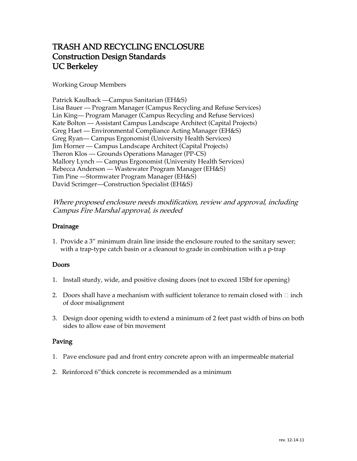# TRASH AND RECYCLING ENCLOSURE Construction Design Standards UC Berkeley

Working Group Members

Patrick Kaulback —Campus Sanitarian (EH&S) Lisa Bauer — Program Manager (Campus Recycling and Refuse Services) Lin King— Program Manager (Campus Recycling and Refuse Services) Kate Bolton — Assistant Campus Landscape Architect (Capital Projects) Greg Haet — Environmental Compliance Acting Manager (EH&S) Greg Ryan— Campus Ergonomist (University Health Services) Jim Horner — Campus Landscape Architect (Capital Projects) Theron Klos — Grounds Operations Manager (PP-CS) Mallory Lynch — Campus Ergonomist (University Health Services) Rebecca Anderson — Wastewater Program Manager (EH&S) Tim Pine —Stormwater Program Manager (EH&S) David Scrimger—Construction Specialist (EH&S)

Where proposed enclosure needs modification, review and approval, including Campus Fire Marshal approval, is needed

### Drainage

1. Provide a 3" minimum drain line inside the enclosure routed to the sanitary sewer; with a trap-type catch basin or a cleanout to grade in combination with a p-trap

## Doors

- 1. Install sturdy, wide, and positive closing doors (not to exceed 15lbf for opening)
- 2. Doors shall have a mechanism with sufficient tolerance to remain closed with  $\Box$  inch of door misalignment
- 3. Design door opening width to extend a minimum of 2 feet past width of bins on both sides to allow ease of bin movement

## Paving

- 1. Pave enclosure pad and front entry concrete apron with an impermeable material
- 2. Reinforced 6"thick concrete is recommended as a minimum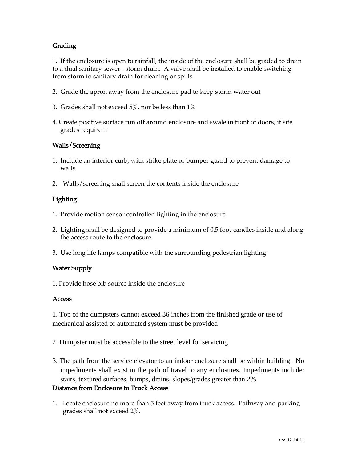# **Grading**

1. If the enclosure is open to rainfall, the inside of the enclosure shall be graded to drain to a dual sanitary sewer - storm drain. A valve shall be installed to enable switching from storm to sanitary drain for cleaning or spills

- 2. Grade the apron away from the enclosure pad to keep storm water out
- 3. Grades shall not exceed  $5\%$ , nor be less than  $1\%$
- 4. Create positive surface run off around enclosure and swale in front of doors, if site grades require it

### Walls/Screening

- 1. Include an interior curb, with strike plate or bumper guard to prevent damage to walls
- 2. Walls/screening shall screen the contents inside the enclosure

## Lighting

- 1. Provide motion sensor controlled lighting in the enclosure
- 2. Lighting shall be designed to provide a minimum of 0.5 foot-candles inside and along the access route to the enclosure
- 3. Use long life lamps compatible with the surrounding pedestrian lighting

## Water Supply

1. Provide hose bib source inside the enclosure

### Access

1. Top of the dumpsters cannot exceed 36 inches from the finished grade or use of mechanical assisted or automated system must be provided

- 2. Dumpster must be accessible to the street level for servicing
- 3. The path from the service elevator to an indoor enclosure shall be within building. No impediments shall exist in the path of travel to any enclosures. Impediments include: stairs, textured surfaces, bumps, drains, slopes/grades greater than 2%.

## Distance from Enclosure to Truck Access

1. Locate enclosure no more than 5 feet away from truck access. Pathway and parking grades shall not exceed 2%.